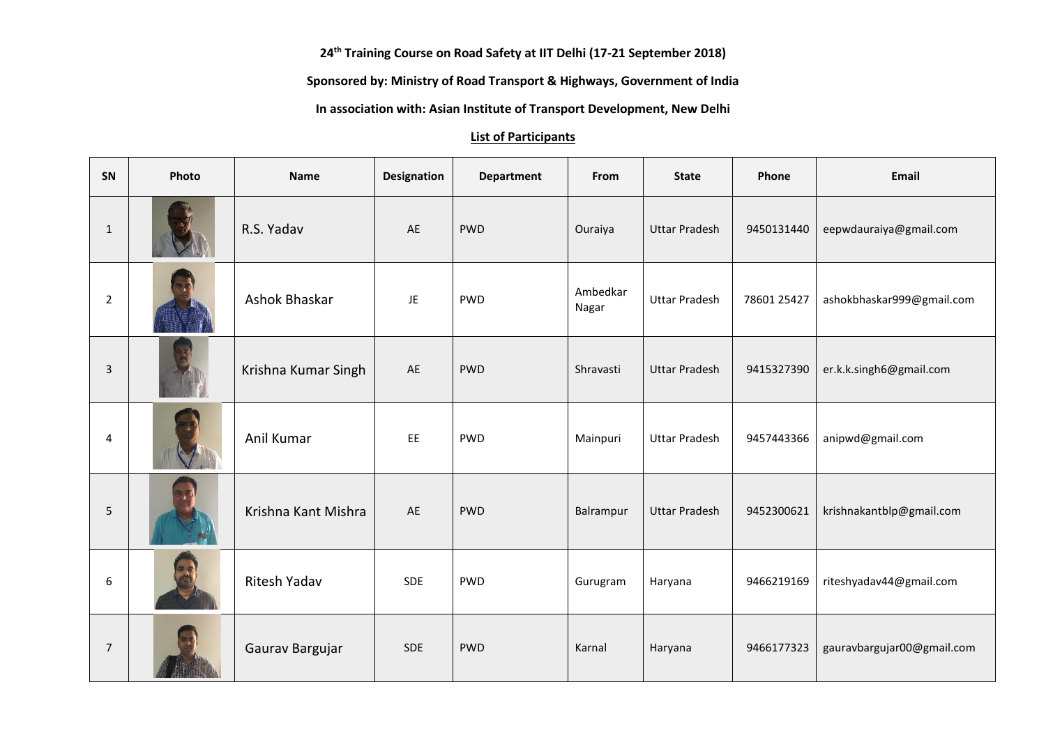**th Training Course on Road Safety at IIT Delhi (17-21 September 2018)**

**Sponsored by: Ministry of Road Transport & Highways, Government of India**

**In association with: Asian Institute of Transport Development, New Delhi**

## **List of Participants**

| SN             | Photo | <b>Name</b>         | Designation | <b>Department</b> | From              | <b>State</b>         | Phone       | Email                      |
|----------------|-------|---------------------|-------------|-------------------|-------------------|----------------------|-------------|----------------------------|
| $\mathbf{1}$   |       | R.S. Yadav          | AE          | <b>PWD</b>        | Ouraiya           | <b>Uttar Pradesh</b> | 9450131440  | eepwdauraiya@gmail.com     |
| 2              |       | Ashok Bhaskar       | JE.         | <b>PWD</b>        | Ambedkar<br>Nagar | <b>Uttar Pradesh</b> | 78601 25427 | ashokbhaskar999@gmail.com  |
| 3              |       | Krishna Kumar Singh | AE          | <b>PWD</b>        | Shravasti         | <b>Uttar Pradesh</b> | 9415327390  | er.k.k.singh6@gmail.com    |
| $\overline{4}$ |       | Anil Kumar          | EE          | <b>PWD</b>        | Mainpuri          | <b>Uttar Pradesh</b> | 9457443366  | anipwd@gmail.com           |
| 5              |       | Krishna Kant Mishra | AE          | <b>PWD</b>        | Balrampur         | <b>Uttar Pradesh</b> | 9452300621  | krishnakantblp@gmail.com   |
| 6              |       | <b>Ritesh Yadav</b> | <b>SDE</b>  | <b>PWD</b>        | Gurugram          | Haryana              | 9466219169  | riteshyadav44@gmail.com    |
| 7              |       | Gaurav Bargujar     | <b>SDE</b>  | <b>PWD</b>        | Karnal            | Haryana              | 9466177323  | gauravbargujar00@gmail.com |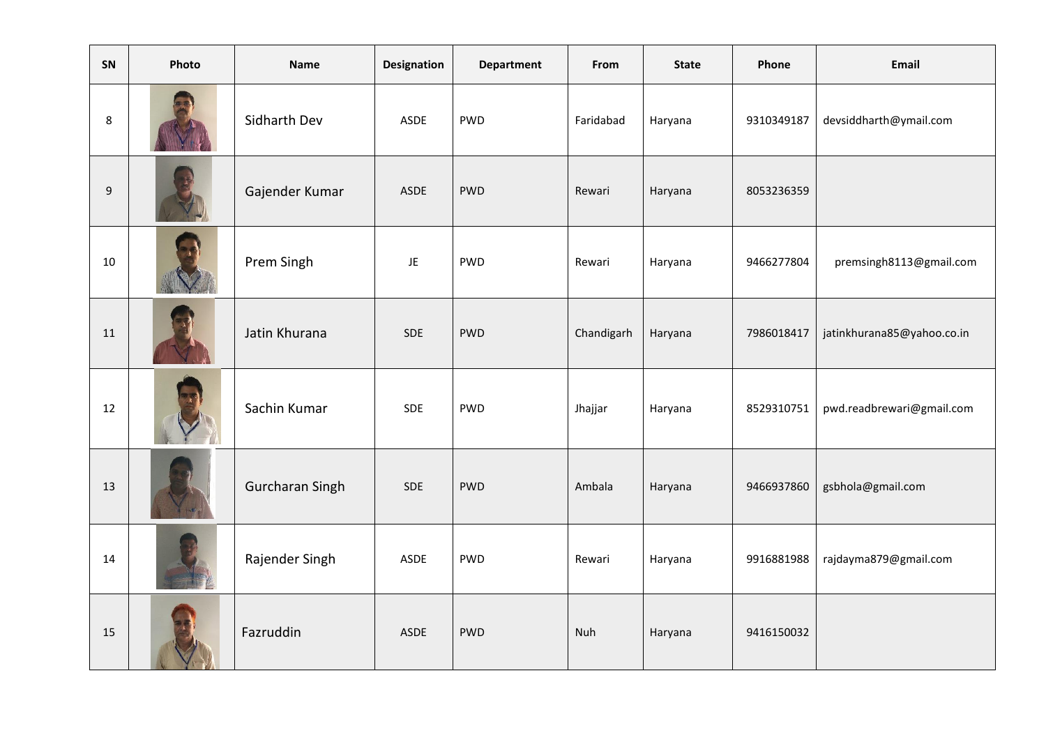| SN  | Photo | Name            | <b>Designation</b> | <b>Department</b> | From       | <b>State</b> | Phone      | Email                      |
|-----|-------|-----------------|--------------------|-------------------|------------|--------------|------------|----------------------------|
| 8   |       | Sidharth Dev    | ASDE               | <b>PWD</b>        | Faridabad  | Haryana      | 9310349187 | devsiddharth@ymail.com     |
| $9$ |       | Gajender Kumar  | ASDE               | <b>PWD</b>        | Rewari     | Haryana      | 8053236359 |                            |
| 10  |       | Prem Singh      | JE                 | PWD               | Rewari     | Haryana      | 9466277804 | premsingh8113@gmail.com    |
| 11  |       | Jatin Khurana   | <b>SDE</b>         | <b>PWD</b>        | Chandigarh | Haryana      | 7986018417 | jatinkhurana85@yahoo.co.in |
| 12  |       | Sachin Kumar    | <b>SDE</b>         | <b>PWD</b>        | Jhajjar    | Haryana      | 8529310751 | pwd.readbrewari@gmail.com  |
| 13  |       | Gurcharan Singh | <b>SDE</b>         | <b>PWD</b>        | Ambala     | Haryana      | 9466937860 | gsbhola@gmail.com          |
| 14  |       | Rajender Singh  | <b>ASDE</b>        | <b>PWD</b>        | Rewari     | Haryana      | 9916881988 | rajdayma879@gmail.com      |
| 15  |       | Fazruddin       | <b>ASDE</b>        | <b>PWD</b>        | Nuh        | Haryana      | 9416150032 |                            |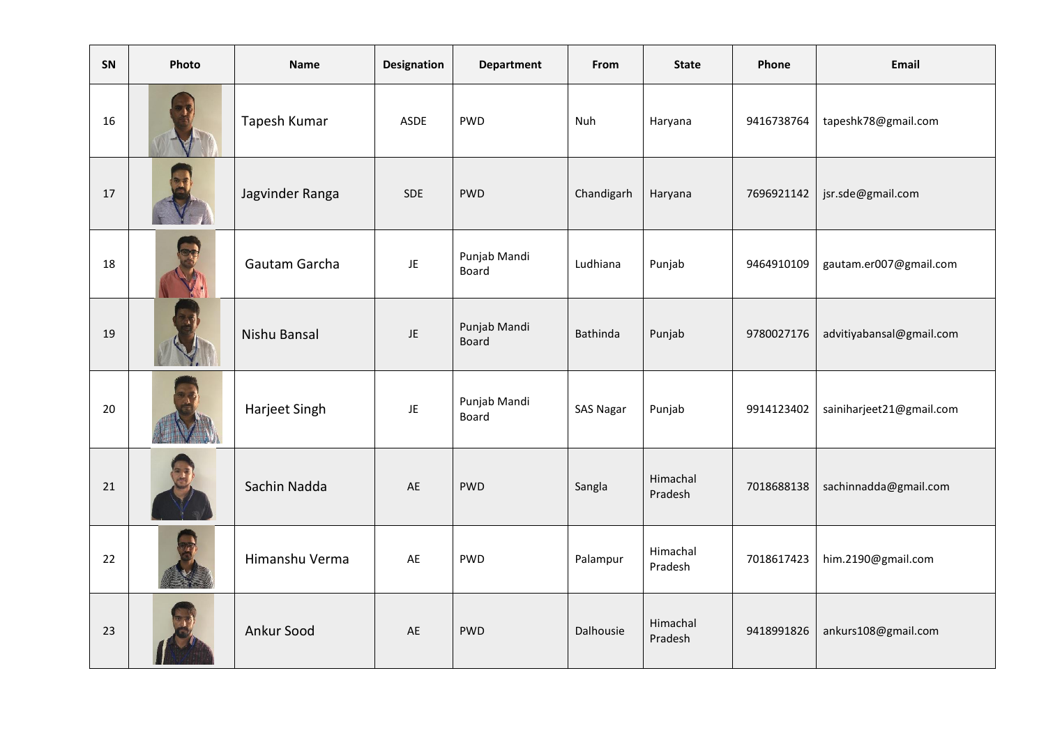| SN | Photo | Name            | Designation | <b>Department</b>            | From             | <b>State</b>        | Phone      | Email                    |
|----|-------|-----------------|-------------|------------------------------|------------------|---------------------|------------|--------------------------|
| 16 |       | Tapesh Kumar    | ASDE        | <b>PWD</b>                   | Nuh              | Haryana             | 9416738764 | tapeshk78@gmail.com      |
| 17 |       | Jagvinder Ranga | <b>SDE</b>  | <b>PWD</b>                   | Chandigarh       | Haryana             | 7696921142 | jsr.sde@gmail.com        |
| 18 |       | Gautam Garcha   | JE          | Punjab Mandi<br>Board        | Ludhiana         | Punjab              | 9464910109 | gautam.er007@gmail.com   |
| 19 |       | Nishu Bansal    | JE          | Punjab Mandi<br><b>Board</b> | Bathinda         | Punjab              | 9780027176 | advitiyabansal@gmail.com |
| 20 |       | Harjeet Singh   | JE          | Punjab Mandi<br>Board        | <b>SAS Nagar</b> | Punjab              | 9914123402 | sainiharjeet21@gmail.com |
| 21 |       | Sachin Nadda    | AE          | <b>PWD</b>                   | Sangla           | Himachal<br>Pradesh | 7018688138 | sachinnadda@gmail.com    |
| 22 |       | Himanshu Verma  | AE          | <b>PWD</b>                   | Palampur         | Himachal<br>Pradesh | 7018617423 | him.2190@gmail.com       |
| 23 |       | Ankur Sood      | AE          | <b>PWD</b>                   | Dalhousie        | Himachal<br>Pradesh | 9418991826 | ankurs108@gmail.com      |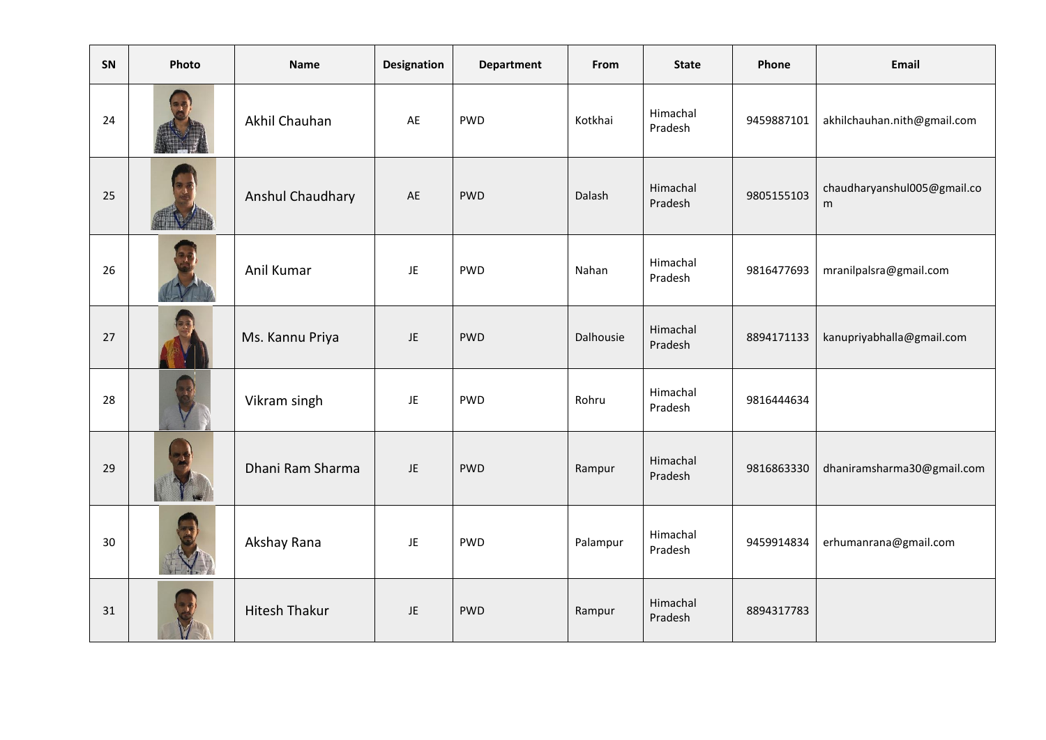| SN | Photo | <b>Name</b>          | <b>Designation</b> | <b>Department</b> | From      | <b>State</b>        | Phone      | <b>Email</b>                     |
|----|-------|----------------------|--------------------|-------------------|-----------|---------------------|------------|----------------------------------|
| 24 |       | Akhil Chauhan        | AE                 | <b>PWD</b>        | Kotkhai   | Himachal<br>Pradesh | 9459887101 | akhilchauhan.nith@gmail.com      |
| 25 |       | Anshul Chaudhary     | AE                 | <b>PWD</b>        | Dalash    | Himachal<br>Pradesh | 9805155103 | chaudharyanshul005@gmail.co<br>m |
| 26 |       | Anil Kumar           | <b>JE</b>          | <b>PWD</b>        | Nahan     | Himachal<br>Pradesh | 9816477693 | mranilpalsra@gmail.com           |
| 27 |       | Ms. Kannu Priya      | JE                 | <b>PWD</b>        | Dalhousie | Himachal<br>Pradesh | 8894171133 | kanupriyabhalla@gmail.com        |
| 28 |       | Vikram singh         | <b>JE</b>          | <b>PWD</b>        | Rohru     | Himachal<br>Pradesh | 9816444634 |                                  |
| 29 |       | Dhani Ram Sharma     | JE.                | <b>PWD</b>        | Rampur    | Himachal<br>Pradesh | 9816863330 | dhaniramsharma30@gmail.com       |
| 30 |       | Akshay Rana          | <b>JE</b>          | <b>PWD</b>        | Palampur  | Himachal<br>Pradesh | 9459914834 | erhumanrana@gmail.com            |
| 31 |       | <b>Hitesh Thakur</b> | JE.                | <b>PWD</b>        | Rampur    | Himachal<br>Pradesh | 8894317783 |                                  |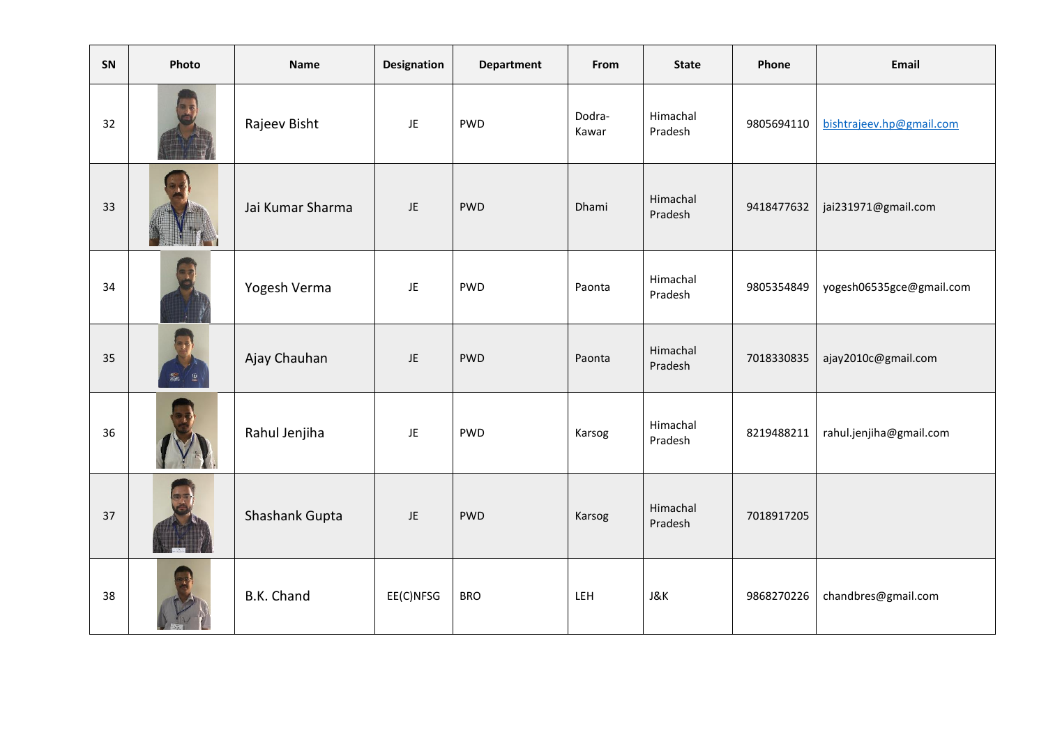| SN | Photo | <b>Name</b>      | <b>Designation</b> | <b>Department</b> | From            | <b>State</b>        | Phone      | Email                    |
|----|-------|------------------|--------------------|-------------------|-----------------|---------------------|------------|--------------------------|
| 32 |       | Rajeev Bisht     | JE                 | PWD               | Dodra-<br>Kawar | Himachal<br>Pradesh | 9805694110 | bishtrajeev.hp@gmail.com |
| 33 |       | Jai Kumar Sharma | JE                 | <b>PWD</b>        | Dhami           | Himachal<br>Pradesh | 9418477632 | jai231971@gmail.com      |
| 34 |       | Yogesh Verma     | JE                 | PWD               | Paonta          | Himachal<br>Pradesh | 9805354849 | yogesh06535gce@gmail.com |
| 35 |       | Ajay Chauhan     | JE                 | <b>PWD</b>        | Paonta          | Himachal<br>Pradesh | 7018330835 | ajay2010c@gmail.com      |
| 36 |       | Rahul Jenjiha    | JE                 | <b>PWD</b>        | Karsog          | Himachal<br>Pradesh | 8219488211 | rahul.jenjiha@gmail.com  |
| 37 |       | Shashank Gupta   | JE                 | <b>PWD</b>        | Karsog          | Himachal<br>Pradesh | 7018917205 |                          |
| 38 |       | B.K. Chand       | EE(C)NFSG          | <b>BRO</b>        | LEH             | J&K                 | 9868270226 | chandbres@gmail.com      |